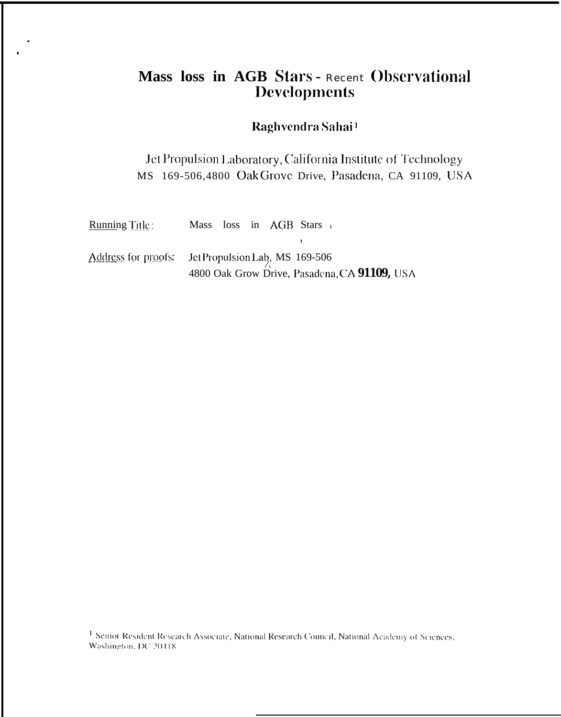## Mass loss in AGB Stars - Recent Observational **Developments**

## Raghvendra Sahai<sup>1</sup>

Jet Propulsion Laboratory, California Institute of Technology MS 169-506,4800 Oak Grove Drive, Pasadena, CA 91109, USA

 $\mathbf{r}$ 

Running Title: Mass loss in AGB Stars

Address for proofs: Jet Propulsion Lab, MS 169-506 4800 Oak Grow Drive, Pasadona, CA 91109, USA

<sup>1</sup> Senior Resident Research Associate, National Research Council, National Academy of Sciences, Washington, DC 20418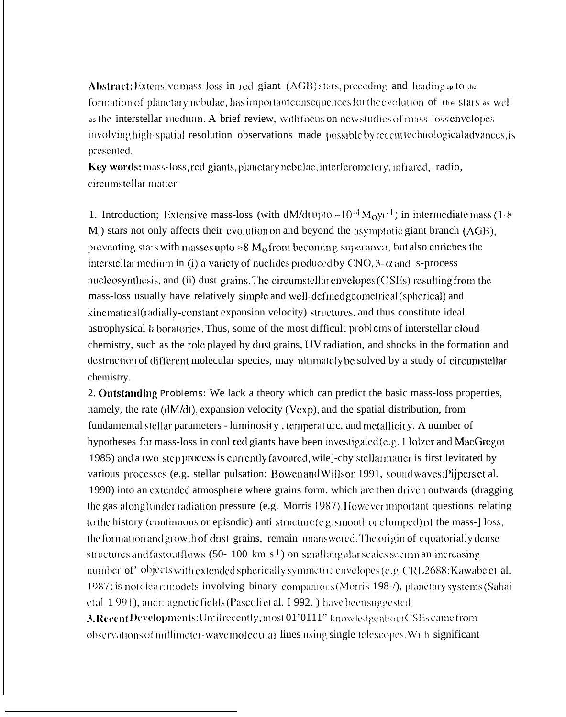Abstract: Extensive mass-loss in red giant  $(AGB)$  stars, preceding and leading up to the formation of planetary nebulae, has important consequences for the evolution of the stars as well as the interstellar medium. A brief review, with focus on new studies of mass-loss envelopes involving high-spatial resolution observations made possible byrecent technological advances, is presented.

Key words: mass-loss, red giants, planetary nebulae, interferometery, infrared, radio, circumstellar matter

1. Introduction; Extensive mass-loss (with dM/dtupto ~10<sup>-4</sup> M<sub>O</sub>y<sub>1</sub><sup>-1</sup>) in intermediate mass (1-8) M<sub>o</sub>) stars not only affects their evolution on and beyond the asymptotic giant branch (AGB), preventing stars with masses upto  $\approx 8 M_0$  from becoming supernova, but also enriches the interstellar medium in (i) a variety of nuclides produced by CNO,  $3-\alpha$  and s-process nucleosynthesis, and (ii) dust grains. The circumstellar envelopes (CSEs) resulting from the mass-loss usually have relatively simple and well-defined geometrical (spherical) and kinematical (radially-constant expansion velocity) structures, and thus constitute ideal astrophysical laboratories. Thus, some of the most difficult problems of interstellar cloud chemistry, such as the role played by dust grains, UV radiation, and shocks in the formation and destruction of different molecular species, may ultimately be solved by a study of circumstellar chemistry.

2. Outstanding Problems: We lack a theory which can predict the basic mass-loss properties, namely, the rate (dM/dt), expansion velocity (Vexp), and the spatial distribution, from fundamental stellar parameters - luminosity, temperature, and metallicity. A number of hypotheses for mass-loss in cool red giants have been investigated (e.g. 1 lolzer and MacGregor 1985) and a two-step process is currently favoured, wile]-cby stellarmatter is first levitated by various processes (e.g. stellar pulsation: Bowen and Willson 1991, sound waves: Pijpers et al. 1990) into an extended atmosphere where grains form, which are then driven outwards (dragging the gas along) under radiation pressure (e.g. Morris 1987). However important questions relating to the history (continuous or episodic) anti-structure (e.g. smooth or clumped) of the mass-] loss, the formation and growth of dust grains, remain unanswered. The origin of equatorially dense structures and fast outflows  $(50-100 \text{ km s}^2)$  on small angular scales seen in an increasing number of objects with extended spherically symmetric envelopes (e.g. CRL2688: Kawabe et al. 1987) is not clear; models involving binary companions (Morris 198-/), planetary systems (Sahai etal. 1.991), and magnetic fields (Pascoliet al. I.992.) have been suggested.

3. Recent Developments: Untilrecently, most 01'0111" knowledge about CSEs came from observations of millimeter-wave molecular lines using single telescopes. With significant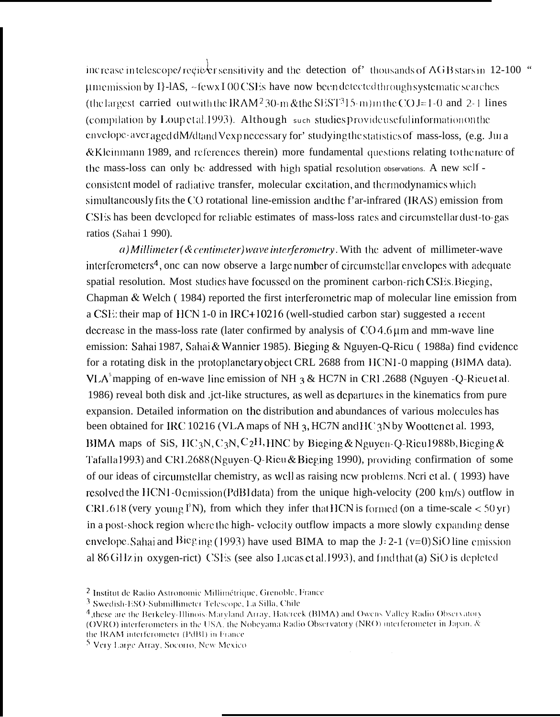increase intelescope/regiber sensitivity and the detection of' thousands of AGB stars in 12-100 "  $\mu$  memission by I}-IAS,  $\sim$  few x I 00 CSEs have now been detected through systematic searches (the largest carried out with the IRAM<sup>2</sup> 30-m & the SEST<sup>3</sup>15-m) in the CO J=1-0 and 2-1 lines (compilation by Loup et al. 1993). Although such studies provide useful information on the envelope-aver aged dM/dtand Vexp necessary for' studying the statistics of mass-loss, (e.g. Jun a & Kleinmann 1989, and references therein) more fundamental questions relating to the nature of the mass-loss can only be addressed with high spatial resolution observations. A new self consistent model of radiative transfer, molecular excitation, and thermodynamics which simultaneously fits the CO rotational line-emission and the f'ar-infrared (IRAS) emission from CSEs has been developed for reliable estimates of mass-loss rates and circumstellar dust-to-gas ratios (Sahai 1 990).

a) Millimeter (& centimeter) wave interferometry. With the advent of millimeter-wave interferometers<sup>4</sup>, one can now observe a large number of circumstellar envelopes with adequate spatial resolution. Most studies have focussed on the prominent carbon-rich CSEs. Bieging, Chapman & Welch (1984) reported the first interferometric map of molecular line emission from a CSE: their map of HCN 1-0 in IRC+10216 (well-studied carbon star) suggested a recent decrease in the mass-loss rate (later confirmed by analysis of  $CO 4.6 \mu m$  and mm-wave line emission: Sahai 1987, Sahai & Wannier 1985). Bieging & Nguyen-Q-Ricu (1988a) find evidence for a rotating disk in the protoplanetary object CRL 2688 from HCN1-0 mapping (BIMA data). VLA<sup>5</sup> mapping of en-wave line emission of NH  $3 \&$  HC7N in CRI .2688 (Nguyen -Q-Rieu et al. 1986) reveal both disk and .jct-like structures, as well as departures in the kinematics from pure expansion. Detailed information on the distribution and abundances of various molecules has been obtained for IRC 10216 (VLA maps of NH 3, HC7N and HC3N by Wootten et al. 1993, BIMA maps of SiS, HC<sub>3</sub>N, C<sub>3</sub>N, C<sub>2</sub>H, HNC by Bieging & Nguyen-O-Ricu1988b, Bieging & Tafalla1993) and CRL2688 (Nguyen-Q-Rieu & Bieging 1990), providing confirmation of some of our ideas of circumstellar chemistry, as well as raising new problems. Neri et al. (1993) have resolved the HCN1-0 emission (PdB1 data) from the unique high-velocity (200 km/s) outflow in CRL 618 (very young I'N), from which they infer that HCN is formed (on a time-scale  $<$  50 yr) in a post-shock region where the high-velocity outflow impacts a more slowly expanding dense envelope. Sahai and Bieging (1993) have used BIMA to map the J=2-1 ( $v=0$ ) SiO line emission al 86 GHz in oxygen-rict) CSEs (see also Lucas et al.1993), and find that (a) SiO is depleted

<sup>&</sup>lt;sup>2</sup> Institut de Radio Astronomie Millimétrique, Grenoble, France

<sup>&</sup>lt;sup>3</sup> Swedish-ESO-Submillimeter Telescope, La Silla, Chile

<sup>&</sup>lt;sup>4</sup>, these are the Berkeley-Illinois-Maryland Array, Hatcreek (BIMA) and Owens Valley Radio Observatory (OVRO) interferometers in the USA, the Nobeyama Radio Observatory (NRO) interferometer in Japan, & the IRAM interferometer (PdBI) in France

<sup>&</sup>lt;sup>5</sup> Very Large Array, Socorto, New Mexico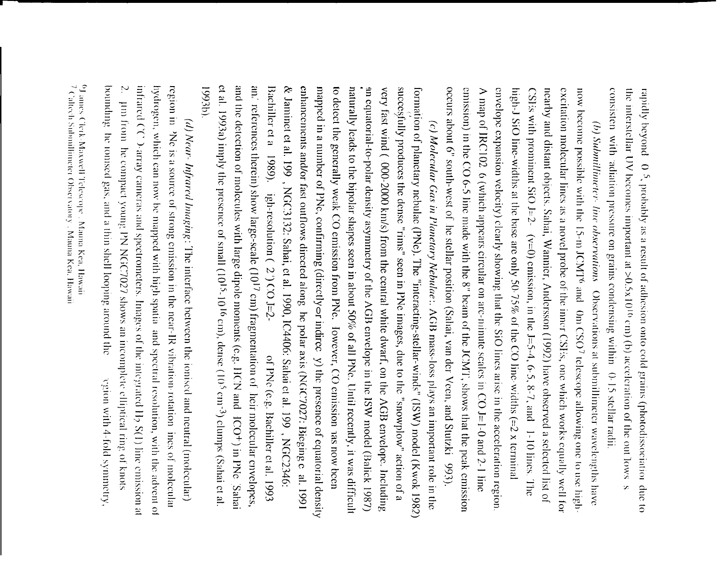consisten with adiation pressure on grains condensing within 0.15 stellar radii the interstellar UV becomes important at  $>0.5x10^{16}$  cm) (b) acceleration of the out lows rapidly beyond  $\left|0\right\rangle$  5, probably as a result of adhesion onto cold grains (photodissociation due to

emission) in the CO 6-5 line made with the 8" beam of the JCMT, shows that the peak emission occurs about 6" south-west of he stellar position (Sahai, van der Veen, and Stutzki 993). envelope expansion velocity) clearly showing that the SiO lines arise in the acceleration region. excitation molecular lines as a novel probe of the inner CSEs, one which works equally well for A map of IRC102 6 (which appears circular on arc-ninute scales in CO J=1-0 and 2-1 line high-J SiO line-widths at the base are only 50-75% of the CO line-widths  $(=2 \times \text{terminal})$ CSI's with prominent SiO J=2- (v=0) emission, in the J=5-4, 6-5, 8-7, and 1-10 lines. The nearby and distant objects. Sahai, Wannier, Andersson (1992) have observed a selected list of now become possible with the 15-m JCMT<sup>6</sup> and Om CSO<sup>7</sup> telescope allowing one to use high-(b) Submillimeter- line observations Observations at submillimeter wavelengths have

et al. 1993a) imply the presence of small  $(10^{15} \text{-} 10^{16} \text{ cm})$ , dense  $(10^5 \text{ cm}^{-3})$  clumps (Sahai et al. and the detection of molecules with large dipole moments (e.g. HCN and  $\text{1CO}^+$ ) in PNe. Sahai ans' references therein) show large-scale (10<sup>17</sup> cm) fragmentation of heir molecular envelopes, 1993b) Bachiller et a 1989). igh-resolution ( $2^{\circ}$ ) CO J=2-& Jaminet et al. 199, NGC3132: Sahai, et al. 1990, IC4406: Sahai et al. 199, NGC2346: enhancements and/or fast outflows directed along he polar axis (NGC7027: Bieging e al. 1991 mapped in a number of PNe, confirming (directly  $\bullet$ r indirec y) the presence of equatorial density to detect the generally weak CO emission from PNe. Jowever, CO emission as now been naturally leads to the bipolar shapes seen in about 50% of all PNe. Until recently, it was difficult an equatorial-to-polar density asymmetry of the AGB envelope in the ISW model (Balick 1987) succesfully produces the dense "rims" seen in PNe images, due to the "snowplow" action of a very fast wind (.000-2000 km/s) from the central white dwarf, on the AGB envelope. Including formation of planetary ncbulae (PNe). The "interacting-stellar-winds" (ISW) model (Kwok 1982) (c) Molecular Gas in Planetary Nebulae:. AGB mass-loss plays an important role in the of PNc (c.g. Bachiller et al. 1993

bounding he ronised gas, and a thin shell looping around the infrared  $C(2)$ -array cameras and spectrometers. Images of the integrated H<sub>2</sub> S(1) line emission at hydrogen, which can now be mapped with high spatia and spectral resolution, with the advent of region in Me is a source of strong emission in the near-IR vibration rotation incs of molecular particom he compact young PN NGC7027 shows an incomplete elliptical ring of knots (d) Near- Infrared Imaging: The interface between the ionised and neutral (molecular) veion with 4-fold symmetry,

 $\frac{6}{2}$ J ames Clerk-Maxwell Telescope , Mauna Kea, Hawaii

 $7$  Caltech Submillimeter Observatory , Mauna Kea, Hawaii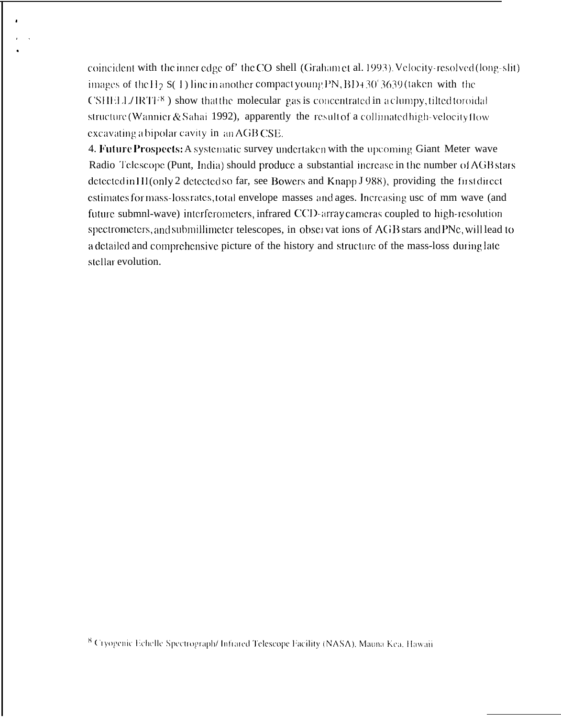coincident with the inner edge of the CO shell (Graham et al. 1993). Velocity-resolved (long-slit) images of the  $H_2 S(1)$  line in another compact young PN, BD+30'3639 (taken with the  $CSHELI/IRTF<sup>8</sup>$ ) show that the molecular gas is concentrated in a clumpy, tilted toroidal structure (Wannier & Sahai 1992), apparently the result of a collimated high-velocity flow excavating a bipolar cavity in an AGB CSE.

4. Future Prospects: A systematic survey undertaken with the upcoming Giant Meter wave Radio Telescope (Punt, India) should produce a substantial increase in the number of AGB stars detected in HI (only 2 detected so far, see Bowers and Knapp J 988), providing the first direct estimates for mass-loss rates, total envelope masses and ages. Increasing use of mm wave (and future submnl-wave) interferometers, infrared CCD-array cameras coupled to high-resolution spectrometers, and submillimeter telescopes, in observations of AGB stars and PNe, will lead to a detailed and comprehensive picture of the history and structure of the mass-loss during late stellar evolution.

8 Cryogenic Echelle Spectrograph/ Infrared Telescope Facility (NASA), Mauna Kea, Hawaii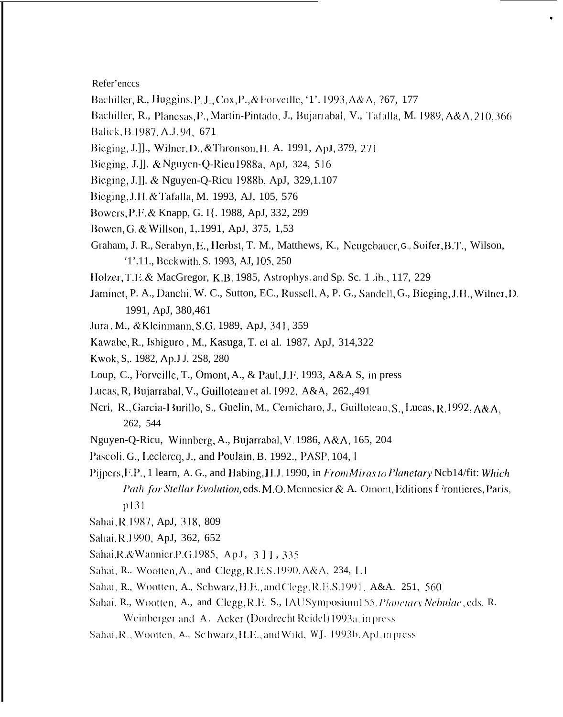Refer'enccs

- Bachiller, R., Huggins, P.J., Cox, P., & Forveille, '1', 1993, A&A, 267, 177
- Bachiller, R., Planesas, P., Martin-Pintado, J., Bujarrabal, V., Tafalla, M. 1989, A&A, 210, 366
- Balick, B.1987, A.J.94, 671
- Bieging, J.]]., Wilner, D., & Thronson, H. A. 1991, ApJ, 379, 271
- Bieging, J.]]. & Nguyen-Q-Rieu 1988a, ApJ, 324, 516
- Bieging, J.]]. & Nguyen-Q-Ricu 1988b, ApJ, 329,1.107
- Bieging, J.H. & Tafalla, M. 1993, AJ, 105, 576
- Bowers, P.F. & Knapp, G. I{. 1988, ApJ, 332, 299
- Bowen, G. & Willson, 1, 1991, ApJ, 375, 1,53
- Graham, J. R., Serabyn, E., Herbst, T. M., Matthews, K., Neugebauer, G., Soifer, B.T., Wilson, '1'.11., Beckwith, S. 1993, AJ, 105, 250
- Holzer, T.E. & MacGregor, K.B. 1985, Astrophys. and Sp. Sc. 1 *ib.*, 117, 229
- Jaminet, P. A., Danchi, W. C., Sutton, EC., Russell, A, P. G., Sandell, G., Bieging, J.H., Wilner, D. 1991, ApJ, 380, 461
- Jura, M., & Kleinmann, S.G. 1989, ApJ, 341, 359
- Kawabe, R., Ishiguro, M., Kasuga, T. et al. 1987, ApJ, 314,322
- Kwok, S., 1982, Ap.J J. 2S8, 280
- Loup, C., Forveille, T., Omont, A., & Paul, J.F. 1993, A&A S, in press
- Lucas, R, Bujarrabal, V., Guilloteau et al. 1992, A&A, 262.,491
- Neri, R., Garcia-Burillo, S., Guelin, M., Cernicharo, J., Guilloteau, S., Lucas, R. 1992, A&A. 262, 544
- Nguyen-Q-Ricu, Winnberg, A., Bujarrabal, V 1986, A&A, 165, 204
- Pascoli, G., Leclercq, J., and Poulain, B. 1992., PASP, 104, 1
- Pijpers, F.P., 1 learn, A.G., and Habing, H.J. 1990, in From Miras to Planetary Ncb14/fit: Which Path for Stellar Evolution, eds. M.O. Mennesier & A. Omont, Editions f 'rontieres, Paris,  $p131$
- Sahai, R 1987, ApJ, 318, 809
- Sahai, R.1990, ApJ, 362, 652
- Sahai, R. & Wannier, P. G. 1985, ApJ, 3 11, 335
- Sahai, R., Wootten, A., and Clegg, R.E.S. 1990, A&A, 234, L1
- Sahai, R., Wootten, A., Schwarz, H.E., and Clegg, R.E.S. 1991, A&A. 251, 560
- Sahai, R., Wootten, A., and Clegg, R.E. S., IAUSymposium155, Planetary Nebulae, eds. R. Weinberger and A. Acker (Dordrecht Reidel) 1993a, in press
- Sahai, R., Wootten, A., Schwarz, H.E., and Wild, WJ. 1993b, ApJ, in press